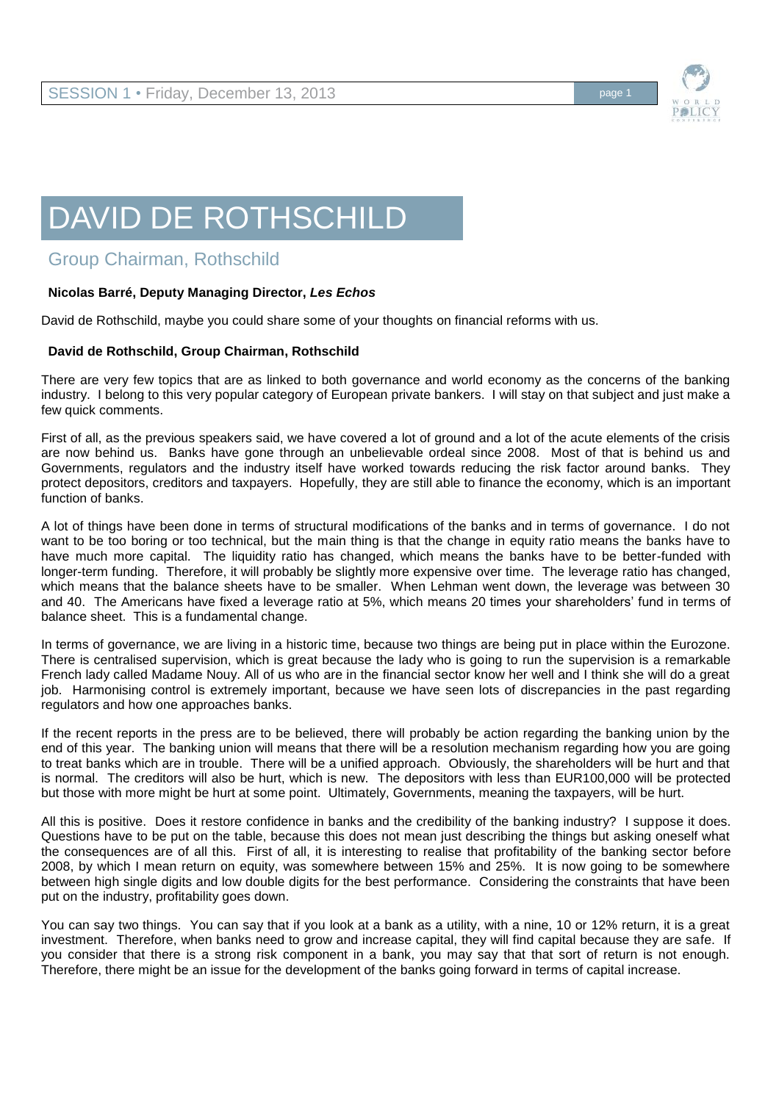

## DAVID DE ROTHSCHILD

## Group Chairman, Rothschild

## **Nicolas Barré, Deputy Managing Director,** *Les Echos*

David de Rothschild, maybe you could share some of your thoughts on financial reforms with us.

## **David de Rothschild, Group Chairman, Rothschild**

There are very few topics that are as linked to both governance and world economy as the concerns of the banking industry. I belong to this very popular category of European private bankers. I will stay on that subject and just make a few quick comments.

First of all, as the previous speakers said, we have covered a lot of ground and a lot of the acute elements of the crisis are now behind us. Banks have gone through an unbelievable ordeal since 2008. Most of that is behind us and Governments, regulators and the industry itself have worked towards reducing the risk factor around banks. They protect depositors, creditors and taxpayers. Hopefully, they are still able to finance the economy, which is an important function of banks.

A lot of things have been done in terms of structural modifications of the banks and in terms of governance. I do not want to be too boring or too technical, but the main thing is that the change in equity ratio means the banks have to have much more capital. The liquidity ratio has changed, which means the banks have to be better-funded with longer-term funding. Therefore, it will probably be slightly more expensive over time. The leverage ratio has changed, which means that the balance sheets have to be smaller. When Lehman went down, the leverage was between 30 and 40. The Americans have fixed a leverage ratio at 5%, which means 20 times your shareholders' fund in terms of balance sheet. This is a fundamental change.

In terms of governance, we are living in a historic time, because two things are being put in place within the Eurozone. There is centralised supervision, which is great because the lady who is going to run the supervision is a remarkable French lady called Madame Nouy. All of us who are in the financial sector know her well and I think she will do a great job. Harmonising control is extremely important, because we have seen lots of discrepancies in the past regarding regulators and how one approaches banks.

If the recent reports in the press are to be believed, there will probably be action regarding the banking union by the end of this year. The banking union will means that there will be a resolution mechanism regarding how you are going to treat banks which are in trouble. There will be a unified approach. Obviously, the shareholders will be hurt and that is normal. The creditors will also be hurt, which is new. The depositors with less than EUR100,000 will be protected but those with more might be hurt at some point. Ultimately, Governments, meaning the taxpayers, will be hurt.

All this is positive. Does it restore confidence in banks and the credibility of the banking industry? I suppose it does. Questions have to be put on the table, because this does not mean just describing the things but asking oneself what the consequences are of all this. First of all, it is interesting to realise that profitability of the banking sector before 2008, by which I mean return on equity, was somewhere between 15% and 25%. It is now going to be somewhere between high single digits and low double digits for the best performance. Considering the constraints that have been put on the industry, profitability goes down.

You can say two things. You can say that if you look at a bank as a utility, with a nine, 10 or 12% return, it is a great investment. Therefore, when banks need to grow and increase capital, they will find capital because they are safe. If you consider that there is a strong risk component in a bank, you may say that that sort of return is not enough. Therefore, there might be an issue for the development of the banks going forward in terms of capital increase.